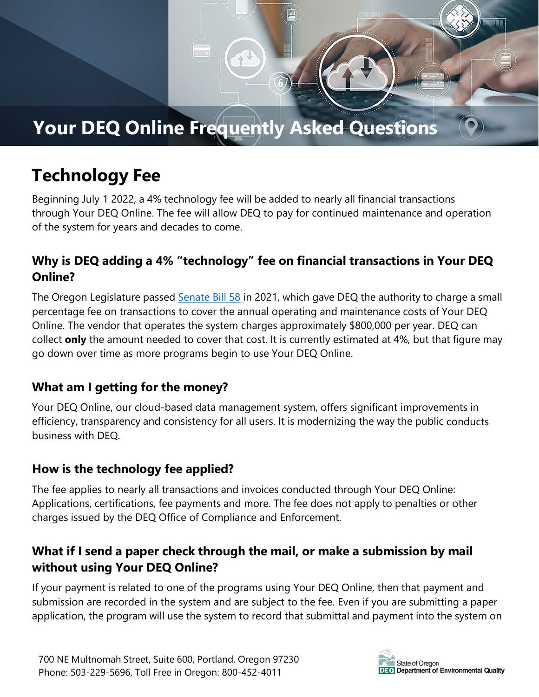# **Your DEQ Online Frequently Asked Questions**

# **Technology Fee**

Beginning July 1 2022, a 4% technology fee will be added to nearly all financial transactions through Your DEQ Online. The fee will allow DEQ to pay for continued maintenance and operation of the system for years and decades to come.

# **Why is DEQ adding a 4% "technology" fee on financial transactions in Your DEQ Online?**

The Oregon Legislature passed [Senate](https://olis.oregonlegislature.gov/liz/2021R1/Downloads/MeasureDocument/SB58/Enrolled) Bill 58 in 2021, which gave DEQ the authority to charge a small percentage fee on transactions to cover the annual operating and maintenance costs of Your DEQ Online. The vendor that operates the system charges approximately \$800,000 per year. DEQ can collect **only** the amount needed to cover that cost. It is currently estimated at 4%, but that figure may go down over time as more programs begin to use Your DEQ Online.

#### **What am I getting for the money?**

Your DEQ Online, our cloud-based data management system, offers significant improvements in efficiency, transparency and consistency for all users. It is modernizing the way the public conducts business with DEQ.

# **How is the technology fee applied?**

The fee applies to nearly all transactions and invoices conducted through Your DEQ Online: Applications, certifications, fee payments and more. The fee does not apply to penalties or other charges issued by the DEQ Office of Compliance and Enforcement.

# **What if I send a paper check through the mail, or make a submission by mail without using Your DEQ Online?**

If your payment is related to one of the programs using Your DEQ Online, then that payment and submission are recorded in the system and are subject to the fee. Even if you are submitting a paper application, the program will use the system to record that submittal and payment into the system on